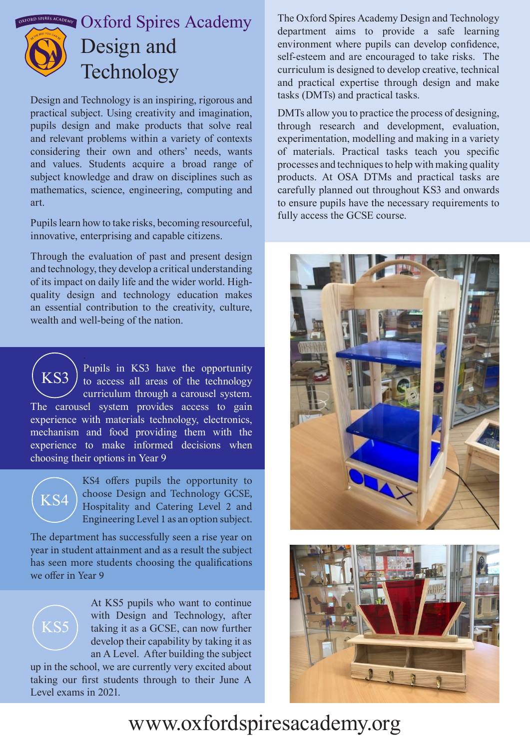

Design and Technology is an inspiring, rigorous and practical subject. Using creativity and imagination, pupils design and make products that solve real and relevant problems within a variety of contexts considering their own and others' needs, wants and values. Students acquire a broad range of subject knowledge and draw on disciplines such as mathematics, science, engineering, computing and art.

Pupils learn how to take risks, becoming resourceful, innovative, enterprising and capable citizens.

Through the evaluation of past and present design and technology, they develop a critical understanding of its impact on daily life and the wider world. Highquality design and technology education makes an essential contribution to the creativity, culture, wealth and well-being of the nation.

Pupils in KS3 have the opportunity to access all areas of the technology curriculum through a carousel system. The carousel system provides access to gain experience with materials technology, electronics, mechanism and food providing them with the experience to make informed decisions when choosing their options in Year 9 KS3



KS4 offers pupils the opportunity to choose Design and Technology GCSE, Hospitality and Catering Level 2 and Engineering Level 1 as an option subject.

The department has successfully seen a rise year on year in student attainment and as a result the subject has seen more students choosing the qualifications we offer in Year 9



At KS5 pupils who want to continue with Design and Technology, after taking it as a GCSE, can now further develop their capability by taking it as an A Level. After building the subject

up in the school, we are currently very excited about taking our first students through to their June A Level exams in 2021.

The Oxford Spires Academy Design and Technology department aims to provide a safe learning environment where pupils can develop confidence, self-esteem and are encouraged to take risks. The curriculum is designed to develop creative, technical and practical expertise through design and make tasks (DMTs) and practical tasks.

DMTs allow you to practice the process of designing, through research and development, evaluation, experimentation, modelling and making in a variety of materials. Practical tasks teach you specific processes and techniques to help with making quality products. At OSA DTMs and practical tasks are carefully planned out throughout KS3 and onwards to ensure pupils have the necessary requirements to fully access the GCSE course.





## www.oxfordspiresacademy.org